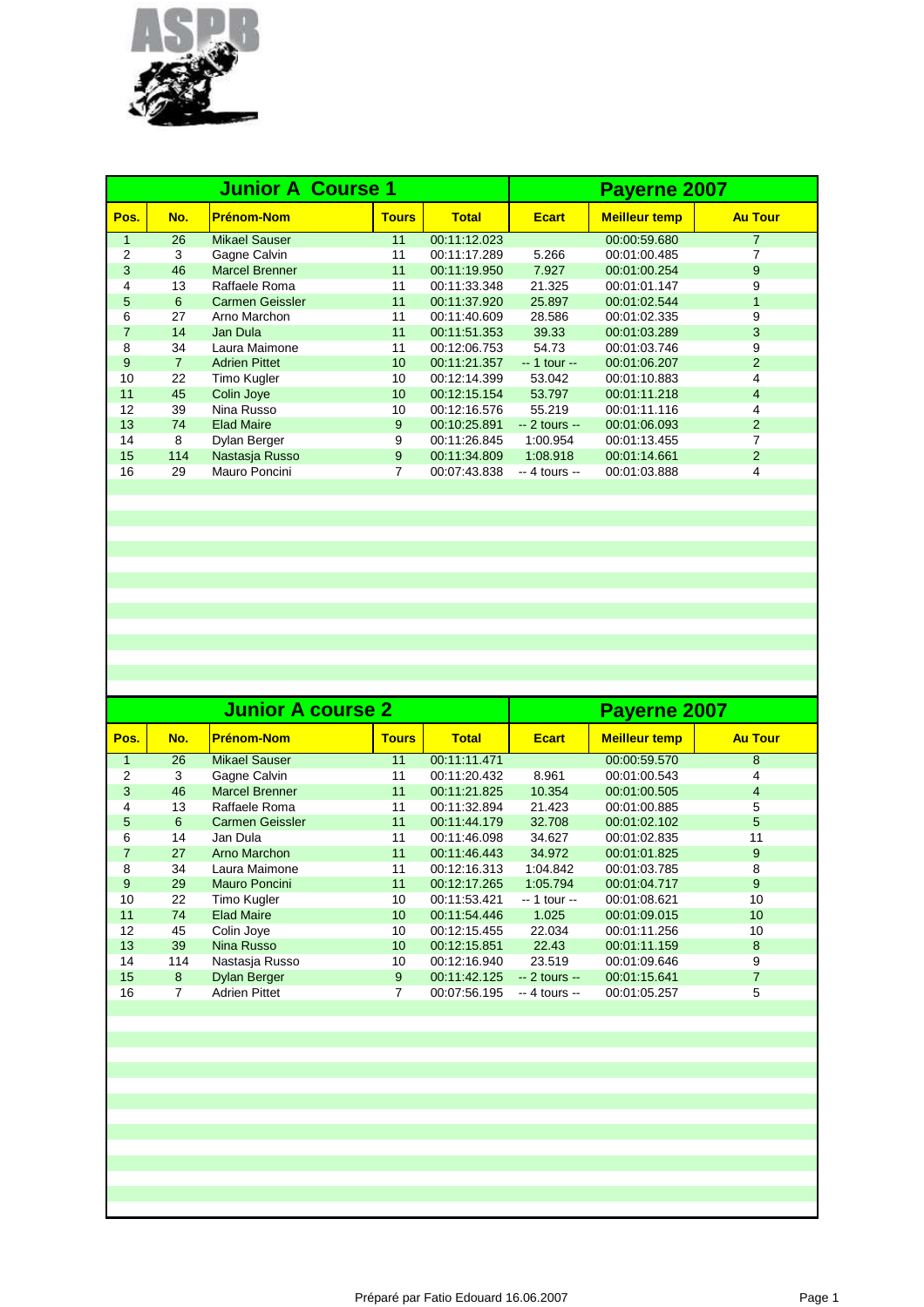

|                |     | <b>Junior A Course 1</b> | Payerne 2007 |              |                |                      |                |
|----------------|-----|--------------------------|--------------|--------------|----------------|----------------------|----------------|
| Pos.           | No. | <b>Prénom-Nom</b>        | <b>Tours</b> | <b>Total</b> | <b>Ecart</b>   | <b>Meilleur temp</b> | <b>Au Tour</b> |
| $\mathbf{1}$   | 26  | <b>Mikael Sauser</b>     | 11           | 00:11:12.023 |                | 00:00:59.680         | 7              |
| 2              | 3   | Gagne Calvin             | 11           | 00:11:17.289 | 5.266          | 00:01:00.485         |                |
| 3              | 46  | <b>Marcel Brenner</b>    | 11           | 00:11:19.950 | 7.927          | 00:01:00.254         | 9              |
| 4              | 13  | Raffaele Roma            | 11           | 00:11:33.348 | 21.325         | 00:01:01.147         | 9              |
| 5              | 6   | <b>Carmen Geissler</b>   | 11           | 00:11:37.920 | 25.897         | 00:01:02.544         | $\mathbf{1}$   |
| 6              | 27  | Arno Marchon             | 11           | 00:11:40.609 | 28.586         | 00:01:02.335         | 9              |
| $\overline{7}$ | 14  | Jan Dula                 | 11           | 00:11:51.353 | 39.33          | 00:01:03.289         | 3              |
| 8              | 34  | Laura Maimone            | 11           | 00:12:06.753 | 54.73          | 00:01:03.746         | 9              |
| 9              |     | <b>Adrien Pittet</b>     | 10           | 00:11:21.357 | $-1$ tour $-$  | 00:01:06.207         | $\overline{2}$ |
| 10             | 22  | Timo Kugler              | 10           | 00:12:14.399 | 53.042         | 00:01:10.883         | 4              |
| 11             | 45  | Colin Joye               | 10           | 00:12:15.154 | 53.797         | 00:01:11.218         | $\overline{4}$ |
| 12             | 39  | Nina Russo               | 10           | 00:12:16.576 | 55.219         | 00:01:11.116         | 4              |
| 13             | 74  | <b>Elad Maire</b>        | 9            | 00:10:25.891 | $-2$ tours $-$ | 00:01:06.093         | $\overline{2}$ |
| 14             | 8   | Dylan Berger             | 9            | 00:11:26.845 | 1:00.954       | 00:01:13.455         | 7              |
| 15             | 114 | Nastasja Russo           | 9            | 00:11:34.809 | 1:08.918       | 00:01:14.661         | $\overline{2}$ |
| 16             | 29  | Mauro Poncini            |              | 00:07:43.838 | $-4$ tours $-$ | 00:01:03.888         | 4              |
|                |     |                          |              |              |                |                      |                |

|      |     | <b>Junior A course 2</b> | Payerne 2007 |              |                |                      |                |
|------|-----|--------------------------|--------------|--------------|----------------|----------------------|----------------|
| Pos. | No. | <b>Prénom-Nom</b>        | <b>Tours</b> | <b>Total</b> | <b>Ecart</b>   | <b>Meilleur temp</b> | <b>Au Tour</b> |
| 1    | 26  | Mikael Sauser            | 11           | 00:11:11.471 |                | 00:00:59.570         | 8              |
| 2    | 3   | Gagne Calvin             | 11           | 00:11:20.432 | 8.961          | 00:01:00.543         | 4              |
| 3    | 46  | <b>Marcel Brenner</b>    | 11           | 00:11:21.825 | 10.354         | 00:01:00.505         | $\overline{4}$ |
| 4    | 13  | Raffaele Roma            | 11           | 00:11:32.894 | 21.423         | 00:01:00.885         | 5              |
| 5    | 6   | <b>Carmen Geissler</b>   | 11           | 00:11:44.179 | 32.708         | 00:01:02.102         | 5              |
| 6    | 14  | Jan Dula                 | 11           | 00:11:46.098 | 34.627         | 00:01:02.835         | 11             |
| 7    | 27  | Arno Marchon             | 11           | 00:11:46.443 | 34.972         | 00:01:01.825         | 9              |
| 8    | 34  | Laura Maimone            | 11           | 00:12:16.313 | 1:04.842       | 00:01:03.785         | 8              |
| 9    | 29  | Mauro Poncini            | 11           | 00:12:17.265 | 1:05.794       | 00:01:04.717         | 9              |
| 10   | 22  | Timo Kugler              | 10           | 00:11:53.421 | -- 1 tour --   | 00:01:08.621         | 10             |
| 11   | 74  | <b>Elad Maire</b>        | 10           | 00:11:54.446 | 1.025          | 00:01:09.015         | 10             |
| 12   | 45  | Colin Joye               | 10           | 00:12:15.455 | 22.034         | 00:01:11.256         | 10             |
| 13   | 39  | Nina Russo               | 10           | 00:12:15.851 | 22.43          | 00:01:11.159         | 8              |
| 14   | 114 | Nastasja Russo           | 10           | 00:12:16.940 | 23.519         | 00:01:09.646         | 9              |
| 15   | 8   | <b>Dylan Berger</b>      | 9            | 00:11:42.125 | $-2$ tours $-$ | 00:01:15.641         | $\overline{7}$ |
| 16   | 7   | <b>Adrien Pittet</b>     | 7            | 00:07:56.195 | $-4$ tours $-$ | 00:01:05.257         | 5              |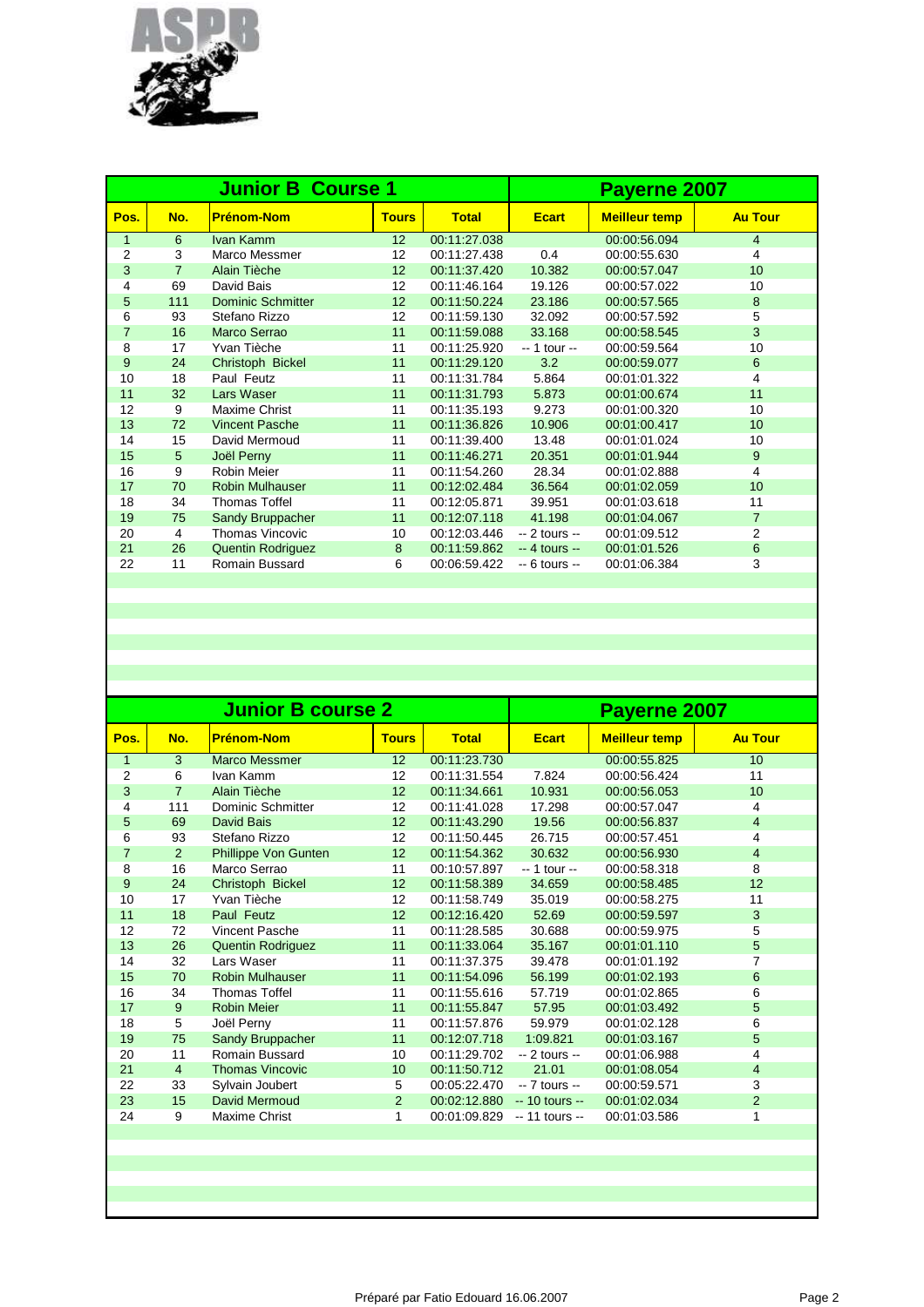

|                |                 | <b>Junior B Course 1</b> |              |              | Payerne 2007   |                      |                |  |
|----------------|-----------------|--------------------------|--------------|--------------|----------------|----------------------|----------------|--|
| Pos.           | No.             | <b>Prénom-Nom</b>        | <b>Tours</b> | <b>Total</b> | <b>Ecart</b>   | <b>Meilleur temp</b> | <b>Au Tour</b> |  |
| $\mathbf{1}$   | 6               | Ivan Kamm                | 12           | 00:11:27.038 |                | 00:00:56.094         | $\overline{4}$ |  |
| $\overline{2}$ | 3               | Marco Messmer            | 12           | 00:11:27.438 | 0.4            | 00:00:55.630         | 4              |  |
| 3              | $\overline{7}$  | Alain Tièche             | 12           | 00:11:37.420 | 10.382         | 00:00:57.047         | 10             |  |
| 4              | 69              | David Bais               | 12           | 00:11:46.164 | 19.126         | 00:00:57.022         | 10             |  |
| 5              | 111             | <b>Dominic Schmitter</b> | 12           | 00:11:50.224 | 23.186         | 00:00:57.565         | 8              |  |
| 6              | 93              | Stefano Rizzo            | 12           | 00:11:59.130 | 32.092         | 00:00:57.592         | 5              |  |
| $\overline{7}$ | 16              | Marco Serrao             | 11           | 00:11:59.088 | 33.168         | 00:00:58.545         | 3              |  |
| 8              | 17              | Yvan Tièche              | 11           | 00:11:25.920 | $-1$ tour $-$  | 00:00:59.564         | 10             |  |
| 9              | 24              | Christoph Bickel         | 11           | 00:11:29.120 | 3.2            | 00:00:59.077         | 6              |  |
| 10             | 18              | Paul Feutz               | 11           | 00:11:31.784 | 5.864          | 00:01:01.322         | 4              |  |
| 11             | 32              | Lars Waser               | 11           | 00:11:31.793 | 5.873          | 00:01:00.674         | 11             |  |
| 12             | 9               | Maxime Christ            | 11           | 00:11:35.193 | 9.273          | 00:01:00.320         | 10             |  |
| 13             | 72              | <b>Vincent Pasche</b>    | 11           | 00:11:36.826 | 10.906         | 00:01:00.417         | 10             |  |
| 14             | 15              | David Mermoud            | 11           | 00:11:39.400 | 13.48          | 00:01:01.024         | 10             |  |
| 15             | $5\phantom{.0}$ | Joël Perny               | 11           | 00:11:46.271 | 20.351         | 00:01:01.944         | 9              |  |
| 16             | 9               | <b>Robin Meier</b>       | 11           | 00:11:54.260 | 28.34          | 00:01:02.888         | 4              |  |
| 17             | 70              | <b>Robin Mulhauser</b>   | 11           | 00:12:02.484 | 36.564         | 00:01:02.059         | 10             |  |
| 18             | 34              | <b>Thomas Toffel</b>     | 11           | 00:12:05.871 | 39.951         | 00:01:03.618         | 11             |  |
| 19             | 75              | Sandy Bruppacher         | 11           | 00:12:07.118 | 41.198         | 00:01:04.067         | $\overline{7}$ |  |
| 20             | $\overline{4}$  | <b>Thomas Vincovic</b>   | 10           | 00:12:03.446 | $-2$ tours $-$ | 00:01:09.512         | $\overline{2}$ |  |
| 21             | 26              | <b>Quentin Rodriguez</b> | 8            | 00:11:59.862 | $-4$ tours $-$ | 00:01:01.526         | $6\phantom{1}$ |  |
| 22             | 11              | Romain Bussard           | 6            | 00:06:59.422 | $-6$ tours $-$ | 00:01:06.384         | 3              |  |
|                |                 |                          |              |              |                |                      |                |  |

|                |                | <b>Junior B course 2</b> | Payerne 2007    |              |                 |                      |                |
|----------------|----------------|--------------------------|-----------------|--------------|-----------------|----------------------|----------------|
| Pos.           | No.            | Prénom-Nom               | <b>Tours</b>    | <b>Total</b> | <b>Ecart</b>    | <b>Meilleur temp</b> | <b>Au Tour</b> |
| $\mathbf{1}$   | 3              | <b>Marco Messmer</b>     | 12              | 00:11:23.730 |                 | 00:00:55.825         | 10             |
| $\overline{2}$ | 6              | Ivan Kamm                | 12              | 00:11:31.554 | 7.824           | 00:00:56.424         | 11             |
| 3              | $\overline{7}$ | Alain Tièche             | 12 <sup>2</sup> | 00:11:34.661 | 10.931          | 00:00:56.053         | 10             |
| 4              | 111            | <b>Dominic Schmitter</b> | 12              | 00:11:41.028 | 17.298          | 00:00:57.047         | 4              |
| 5              | 69             | David Bais               | 12              | 00:11:43.290 | 19.56           | 00:00:56.837         | $\overline{4}$ |
| 6              | 93             | Stefano Rizzo            | 12              | 00:11:50.445 | 26.715          | 00:00:57.451         | 4              |
| $\overline{7}$ | 2              | Phillippe Von Gunten     | 12              | 00:11:54.362 | 30.632          | 00:00:56.930         | $\overline{4}$ |
| 8              | 16             | Marco Serrao             | 11              | 00:10:57.897 | -- 1 tour --    | 00:00:58.318         | 8              |
| 9              | 24             | Christoph Bickel         | 12              | 00:11:58.389 | 34.659          | 00:00:58.485         | 12             |
| 10             | 17             | Yvan Tièche              | 12              | 00:11:58.749 | 35.019          | 00:00:58.275         | 11             |
| 11             | 18             | Paul Feutz               | 12              | 00:12:16.420 | 52.69           | 00:00:59.597         | 3              |
| 12             | 72             | Vincent Pasche           | 11              | 00:11:28.585 | 30.688          | 00:00:59.975         | 5              |
| 13             | 26             | <b>Quentin Rodriguez</b> | 11              | 00:11:33.064 | 35.167          | 00:01:01.110         | 5              |
| 14             | 32             | Lars Waser               | 11              | 00:11:37.375 | 39.478          | 00:01:01.192         | 7              |
| 15             | 70             | <b>Robin Mulhauser</b>   | 11              | 00:11:54.096 | 56.199          | 00:01:02.193         | 6              |
| 16             | 34             | <b>Thomas Toffel</b>     | 11              | 00:11:55.616 | 57.719          | 00:01:02.865         | 6              |
| 17             | 9              | <b>Robin Meier</b>       | 11              | 00:11:55.847 | 57.95           | 00:01:03.492         | 5              |
| 18             | 5              | Joël Perny               | 11              | 00:11:57.876 | 59.979          | 00:01:02.128         | 6              |
| 19             | 75             | Sandy Bruppacher         | 11              | 00:12:07.718 | 1:09.821        | 00:01:03.167         | 5              |
| 20             | 11             | Romain Bussard           | 10              | 00:11:29.702 | $-2$ tours $-$  | 00:01:06.988         | 4              |
| 21             | $\overline{4}$ | <b>Thomas Vincovic</b>   | 10              | 00:11:50.712 | 21.01           | 00:01:08.054         | $\overline{4}$ |
| 22             | 33             | Sylvain Joubert          | 5               | 00:05:22.470 | $-7$ tours $-$  | 00:00:59.571         | 3              |
| 23             | 15             | David Mermoud            | 2               | 00:02:12.880 | $-10$ tours $-$ | 00:01:02.034         | $\overline{2}$ |
| 24             | 9              | Maxime Christ            | 1               | 00:01:09.829 | $-11$ tours $-$ | 00:01:03.586         | 1              |
|                |                |                          |                 |              |                 |                      |                |
|                |                |                          |                 |              |                 |                      |                |
|                |                |                          |                 |              |                 |                      |                |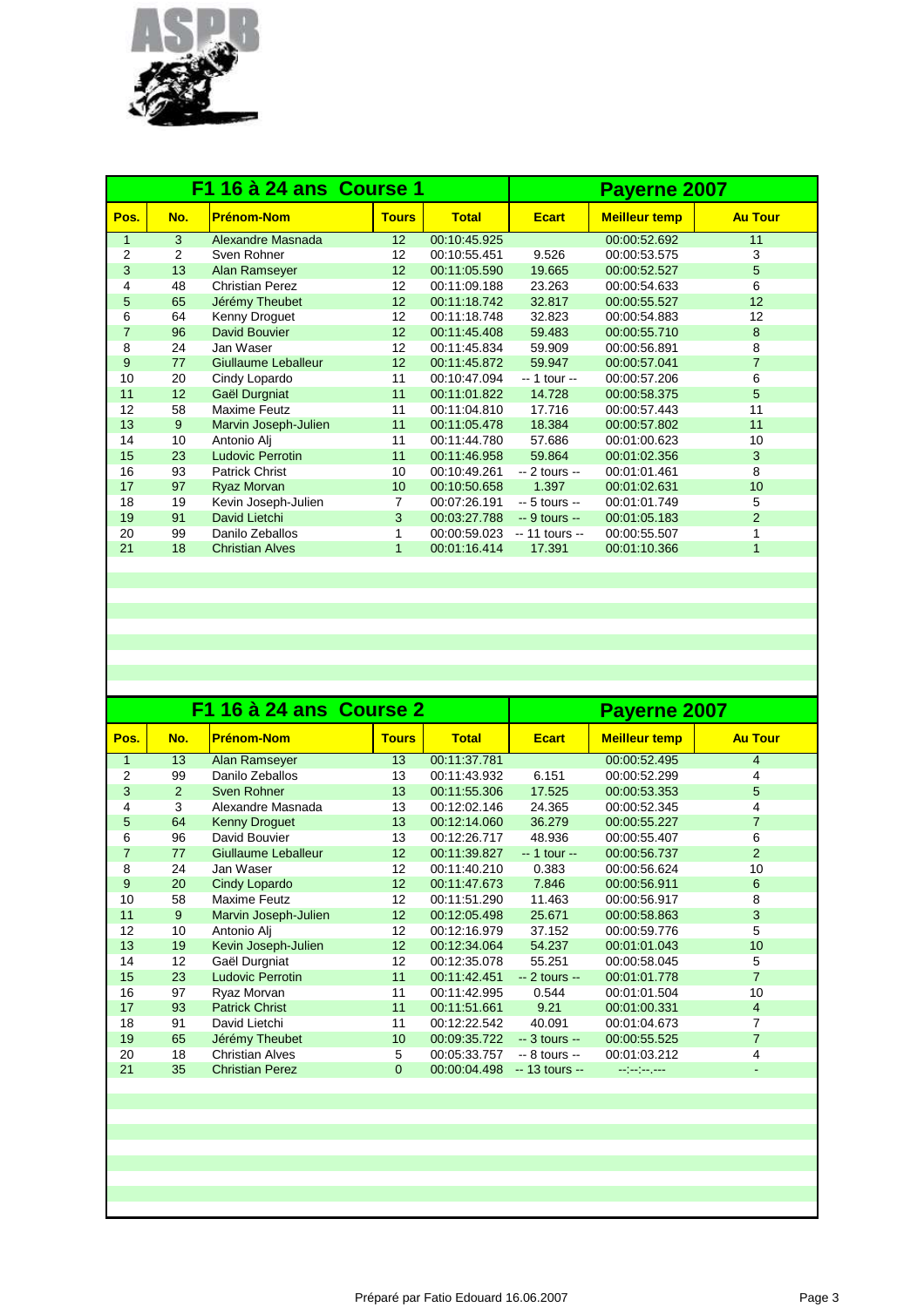

|                |     | F1 16 à 24 ans Course 1 | Payerne 2007    |              |                 |                      |                |
|----------------|-----|-------------------------|-----------------|--------------|-----------------|----------------------|----------------|
| Pos.           | No. | <b>Prénom-Nom</b>       | <b>Tours</b>    | <b>Total</b> | <b>Ecart</b>    | <b>Meilleur temp</b> | <b>Au Tour</b> |
| $\mathbf{1}$   | 3   | Alexandre Masnada       | 12              | 00:10:45.925 |                 | 00:00:52.692         | 11             |
| $\overline{2}$ | 2   | Sven Rohner             | 12              | 00:10:55.451 | 9.526           | 00:00:53.575         | 3              |
| 3              | 13  | Alan Ramseyer           | 12 <sup>2</sup> | 00:11:05.590 | 19.665          | 00:00:52.527         | 5              |
| 4              | 48  | <b>Christian Perez</b>  | 12              | 00:11:09.188 | 23.263          | 00:00:54.633         | 6              |
| 5              | 65  | Jérémy Theubet          | 12              | 00:11:18.742 | 32.817          | 00:00:55.527         | 12             |
| 6              | 64  | Kenny Droquet           | 12              | 00:11:18.748 | 32.823          | 00:00:54.883         | 12             |
| $\overline{7}$ | 96  | David Bouvier           | 12 <sup>2</sup> | 00:11:45.408 | 59.483          | 00:00:55.710         | 8              |
| 8              | 24  | Jan Waser               | 12              | 00:11:45.834 | 59.909          | 00:00:56.891         | 8              |
| 9              | 77  | Giullaume Leballeur     | 12              | 00:11:45.872 | 59.947          | 00:00:57.041         | $\overline{7}$ |
| 10             | 20  | Cindy Lopardo           | 11              | 00:10:47.094 | -- 1 tour --    | 00:00:57.206         | 6              |
| 11             | 12  | Gaël Durgniat           | 11              | 00:11:01.822 | 14.728          | 00:00:58.375         | 5              |
| 12             | 58  | <b>Maxime Feutz</b>     | 11              | 00:11:04.810 | 17.716          | 00:00:57.443         | 11             |
| 13             | 9   | Marvin Joseph-Julien    | 11              | 00:11:05.478 | 18.384          | 00:00:57.802         | 11             |
| 14             | 10  | Antonio Alj             | 11              | 00:11:44.780 | 57.686          | 00:01:00.623         | 10             |
| 15             | 23  | Ludovic Perrotin        | 11              | 00:11:46.958 | 59.864          | 00:01:02.356         | 3              |
| 16             | 93  | <b>Patrick Christ</b>   | 10              | 00:10:49.261 | $-2$ tours $-$  | 00:01:01.461         | 8              |
| 17             | 97  | Ryaz Morvan             | 10 <sup>1</sup> | 00:10:50.658 | 1.397           | 00:01:02.631         | 10             |
| 18             | 19  | Kevin Joseph-Julien     | 7               | 00:07:26.191 | $-5$ tours $-$  | 00:01:01.749         | 5              |
| 19             | 91  | David Lietchi           | 3               | 00:03:27.788 | $-9$ tours $-$  | 00:01:05.183         | $\overline{2}$ |
| 20             | 99  | Danilo Zeballos         |                 | 00:00:59.023 | $-11$ tours $-$ | 00:00:55.507         | 1              |
| 21             | 18  | <b>Christian Alves</b>  | $\mathbf{1}$    | 00:01:16.414 | 17.391          | 00:01:10.366         | 1              |

|                |     | F1 16 à 24 ans Course 2 | Payerne 2007    |              |                 |                      |                          |
|----------------|-----|-------------------------|-----------------|--------------|-----------------|----------------------|--------------------------|
| Pos.           | No. | <b>Prénom-Nom</b>       | <b>Tours</b>    | <b>Total</b> | <b>Ecart</b>    | <b>Meilleur temp</b> | <b>Au Tour</b>           |
| 1              | 13  | Alan Ramseyer           | 13              | 00:11:37.781 |                 | 00:00:52.495         | $\overline{4}$           |
| 2              | 99  | Danilo Zeballos         | 13              | 00:11:43.932 | 6.151           | 00:00:52.299         | 4                        |
| 3              | 2   | Sven Rohner             | 13              | 00:11:55.306 | 17.525          | 00:00:53.353         | 5                        |
| 4              | 3   | Alexandre Masnada       | 13              | 00:12:02.146 | 24.365          | 00:00:52.345         | 4                        |
| 5              | 64  | <b>Kenny Droguet</b>    | 13              | 00:12:14.060 | 36.279          | 00:00:55.227         | $\overline{7}$           |
| 6              | 96  | David Bouvier           | 13              | 00:12:26.717 | 48.936          | 00:00:55.407         | 6                        |
| $\overline{7}$ | 77  | Giullaume Leballeur     | 12              | 00:11:39.827 | $-1$ tour $-$   | 00:00:56.737         | 2                        |
| 8              | 24  | Jan Waser               | 12              | 00:11:40.210 | 0.383           | 00:00:56.624         | 10                       |
| 9              | 20  | Cindy Lopardo           | 12              | 00:11:47.673 | 7.846           | 00:00:56.911         | 6                        |
| 10             | 58  | Maxime Feutz            | 12              | 00:11:51.290 | 11.463          | 00:00:56.917         | 8                        |
| 11             | 9   | Marvin Joseph-Julien    | 12              | 00:12:05.498 | 25.671          | 00:00:58.863         | 3                        |
| 12             | 10  | Antonio Alj             | 12              | 00:12:16.979 | 37.152          | 00:00:59.776         | 5                        |
| 13             | 19  | Kevin Joseph-Julien     | 12 <sup>2</sup> | 00:12:34.064 | 54.237          | 00:01:01.043         | 10                       |
| 14             | 12  | Gaël Durgniat           | 12              | 00:12:35.078 | 55.251          | 00:00:58.045         | 5                        |
| 15             | 23  | <b>Ludovic Perrotin</b> | 11              | 00:11:42.451 | $-2$ tours $-$  | 00:01:01.778         | $\overline{7}$           |
| 16             | 97  | Ryaz Morvan             | 11              | 00:11:42.995 | 0.544           | 00:01:01.504         | 10                       |
| 17             | 93  | <b>Patrick Christ</b>   | 11              | 00:11:51.661 | 9.21            | 00:01:00.331         | $\overline{4}$           |
| 18             | 91  | David Lietchi           | 11              | 00:12:22.542 | 40.091          | 00:01:04.673         | 7                        |
| 19             | 65  | Jérémy Theubet          | 10              | 00:09:35.722 | $-3$ tours $-$  | 00:00:55.525         | $\overline{7}$           |
| 20             | 18  | <b>Christian Alves</b>  | 5               | 00:05:33.757 | $-8$ tours $-$  | 00:01:03.212         | 4                        |
| 21             | 35  | <b>Christian Perez</b>  | $\Omega$        | 00:00:04.498 | $-13$ tours $-$ | مسترمين سوابي        | $\overline{\phantom{a}}$ |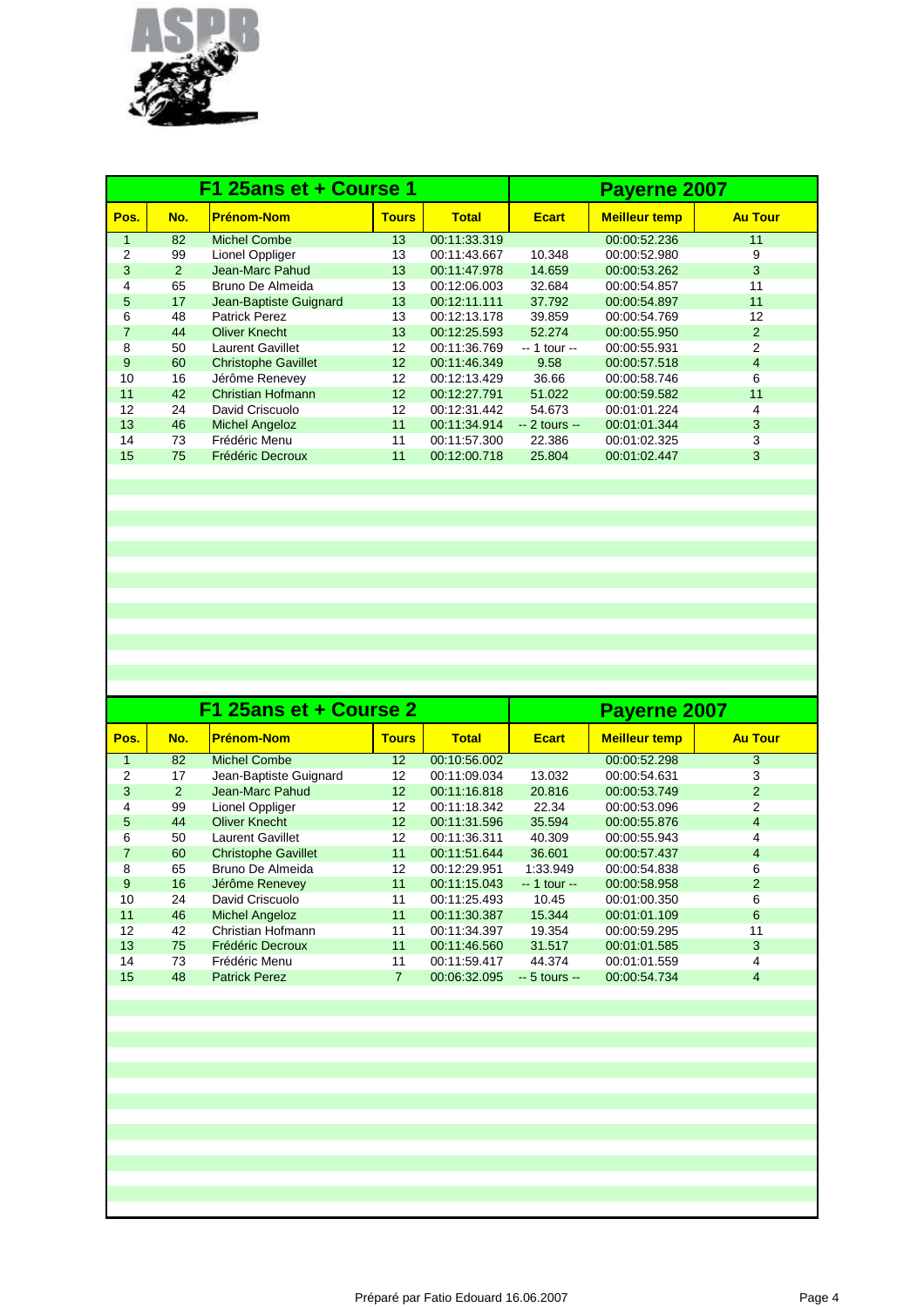

|                |               | F1 25ans et + Course 1     |                 |              | Payerne 2007   |                      |                |  |
|----------------|---------------|----------------------------|-----------------|--------------|----------------|----------------------|----------------|--|
| Pos.           | No.           | <b>Prénom-Nom</b>          | <b>Tours</b>    | <b>Total</b> | <b>Ecart</b>   | <b>Meilleur temp</b> | <b>Au Tour</b> |  |
| 1              | 82            | <b>Michel Combe</b>        | 13              | 00:11:33.319 |                | 00:00:52.236         | 11             |  |
| 2              | 99            | Lionel Oppliger            | 13              | 00:11:43.667 | 10.348         | 00:00:52.980         | 9              |  |
| 3              | $\mathcal{P}$ | Jean-Marc Pahud            | 13              | 00:11:47.978 | 14.659         | 00:00:53.262         | 3              |  |
| 4              | 65            | Bruno De Almeida           | 13              | 00:12:06.003 | 32.684         | 00:00:54.857         | 11             |  |
| 5              | 17            | Jean-Baptiste Guignard     | 13              | 00:12:11.111 | 37.792         | 00:00:54.897         | 11             |  |
| 6              | 48            | <b>Patrick Perez</b>       | 13              | 00:12:13.178 | 39.859         | 00:00:54.769         | 12             |  |
| $\overline{7}$ | 44            | <b>Oliver Knecht</b>       | 13              | 00:12:25.593 | 52.274         | 00:00:55.950         | 2              |  |
| 8              | 50            | Laurent Gavillet           | 12              | 00:11:36.769 | $-1$ tour $-$  | 00:00:55.931         | 2              |  |
| 9              | 60            | <b>Christophe Gavillet</b> | 12 <sup>2</sup> | 00:11:46.349 | 9.58           | 00:00:57.518         | $\overline{4}$ |  |
| 10             | 16            | Jérôme Renevey             | 12              | 00:12:13.429 | 36.66          | 00:00:58.746         | 6              |  |
| 11             | 42            | Christian Hofmann          | 12 <sup>2</sup> | 00:12:27.791 | 51.022         | 00:00:59.582         | 11             |  |
| 12             | 24            | David Criscuolo            | 12 <sup>°</sup> | 00:12:31.442 | 54.673         | 00:01:01.224         | 4              |  |
| 13             | 46            | <b>Michel Angeloz</b>      | 11              | 00:11:34.914 | $-2$ tours $-$ | 00:01:01.344         | 3              |  |
| 14             | 73            | Frédéric Menu              | 11              | 00:11:57.300 | 22.386         | 00:01:02.325         | 3              |  |
| 15             | 75            | Frédéric Decroux           | 11              | 00:12:00.718 | 25.804         | 00:01:02.447         | 3              |  |

|     |                            | Payerne 2007    |                        |                |                      |                |
|-----|----------------------------|-----------------|------------------------|----------------|----------------------|----------------|
| No. | <b>Prénom-Nom</b>          | <b>Tours</b>    | <b>Total</b>           | <b>Ecart</b>   | <b>Meilleur temp</b> | <b>Au Tour</b> |
| 82  | <b>Michel Combe</b>        | 12 <sup>2</sup> | 00:10:56.002           |                | 00:00:52.298         | 3              |
| 17  | Jean-Baptiste Guignard     | 12              | 00:11:09.034           | 13.032         | 00:00:54.631         | 3              |
| 2   | Jean-Marc Pahud            | 12              | 00:11:16.818           | 20.816         | 00:00:53.749         | 2              |
| 99  | Lionel Oppliger            | 12              | 00:11:18.342           | 22.34          | 00:00:53.096         | 2              |
| 44  | <b>Oliver Knecht</b>       | 12              | 00:11:31.596           | 35.594         | 00:00:55.876         | 4              |
| 50  | Laurent Gavillet           | 12              | 00:11:36.311           | 40.309         | 00:00:55.943         | 4              |
| 60  | <b>Christophe Gavillet</b> | 11              | 00:11:51.644           | 36,601         | 00:00:57.437         | 4              |
| 65  | Bruno De Almeida           | 12              | 00:12:29.951           | 1:33.949       | 00:00:54.838         | 6              |
| 16  | Jérôme Renevey             | 11              | 00:11:15.043           | $-1$ tour $-$  | 00:00:58.958         | 2              |
| 24  | David Criscuolo            | 11              | 00:11:25.493           | 10.45          | 00:01:00.350         | 6              |
| 46  | <b>Michel Angeloz</b>      | 11              | 00:11:30.387           | 15.344         | 00:01:01.109         | 6              |
| 42  | Christian Hofmann          | 11              | 00:11:34.397           | 19.354         | 00:00:59.295         | 11             |
| 75  | Frédéric Decroux           | 11              | 00:11:46.560           | 31.517         | 00:01:01.585         | 3              |
| 73  | Frédéric Menu              | 11              | 00:11:59.417           | 44.374         | 00:01:01.559         | 4              |
| 48  | <b>Patrick Perez</b>       | 7               | 00:06:32.095           | $-5$ tours $-$ | 00:00:54.734         | 4              |
|     |                            |                 | F1 25ans et + Course 2 |                |                      |                |